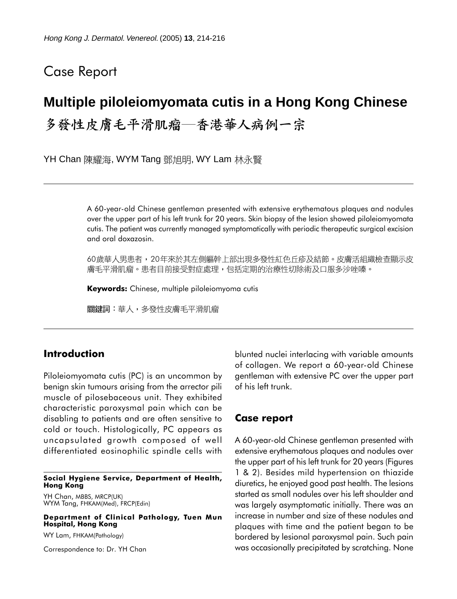## Case Report

# **Multiple piloleiomyomata cutis in a Hong Kong Chinese**

多發性皮膚毛平滑肌瘤—香港華人病例一宗

YH Chan 陳耀海, WYM Tang 鄧旭明, WY Lam 林永賢

A 60-year-old Chinese gentleman presented with extensive erythematous plaques and nodules over the upper part of his left trunk for 20 years. Skin biopsy of the lesion showed piloleiomyomata cutis. The patient was currently managed symptomatically with periodic therapeutic surgical excision and oral doxazosin.

60歲華人男患者,20年來於其左側軀幹上部出現多發性紅色丘疹及結節。皮膚活組織檢查顯示皮 膚毛平滑肌瘤。患者目前接受對症處理,包括定期的治療性切除術及口服多沙唑嗪。

**Keywords:** Chinese, multiple piloleiomyoma cutis

關鍵詞:華人,多發性皮膚毛平滑肌瘤

### **Introduction**

Piloleiomyomata cutis (PC) is an uncommon by benign skin tumours arising from the arrector pili muscle of pilosebaceous unit. They exhibited characteristic paroxysmal pain which can be disabling to patients and are often sensitive to cold or touch. Histologically, PC appears as uncapsulated growth composed of well differentiated eosinophilic spindle cells with

#### **Social Hygiene Service, Department of Health, Hong Kong**

YH Chan, MBBS, MRCP(UK) WYM Tang, FHKAM(Med), FRCP(Edin)

**Department of Clinical Pathology, Tuen Mun Hospital, Hong Kong**

WY Lam, FHKAM(Pathology)

Correspondence to: Dr. YH Chan

blunted nuclei interlacing with variable amounts of collagen. We report a 60-year-old Chinese gentleman with extensive PC over the upper part of his left trunk.

### **Case report**

A 60-year-old Chinese gentleman presented with extensive erythematous plaques and nodules over the upper part of his left trunk for 20 years (Figures 1 & 2). Besides mild hypertension on thiazide diuretics, he enjoyed good past health. The lesions started as small nodules over his left shoulder and was largely asymptomatic initially. There was an increase in number and size of these nodules and plaques with time and the patient began to be bordered by lesional paroxysmal pain. Such pain was occasionally precipitated by scratching. None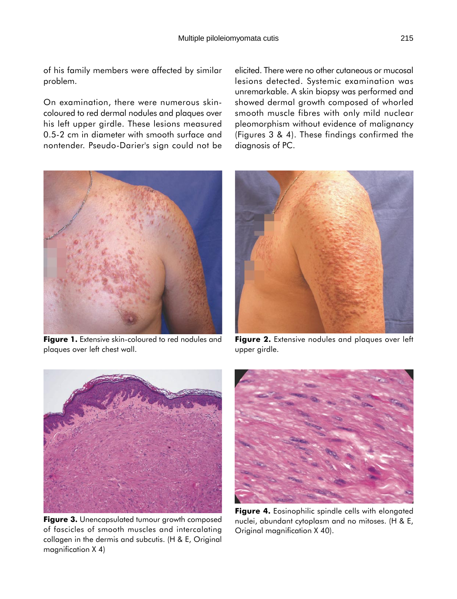of his family members were affected by similar problem.

On examination, there were numerous skincoloured to red dermal nodules and plaques over his left upper girdle. These lesions measured 0.5-2 cm in diameter with smooth surface and nontender. Pseudo-Darier's sign could not be

elicited. There were no other cutaneous or mucosal lesions detected. Systemic examination was unremarkable. A skin biopsy was performed and showed dermal growth composed of whorled smooth muscle fibres with only mild nuclear pleomorphism without evidence of malignancy (Figures 3 & 4). These findings confirmed the diagnosis of PC.



**Figure 1.** Extensive skin-coloured to red nodules and plaques over left chest wall.



**Figure 2.** Extensive nodules and plaques over left upper girdle.



**Figure 3.** Unencapsulated tumour growth composed of fascicles of smooth muscles and intercalating collagen in the dermis and subcutis. (H & E, Original magnification X 4)



Figure 4. Eosinophilic spindle cells with elongated nuclei, abundant cytoplasm and no mitoses. (H & E, Original magnification X 40).